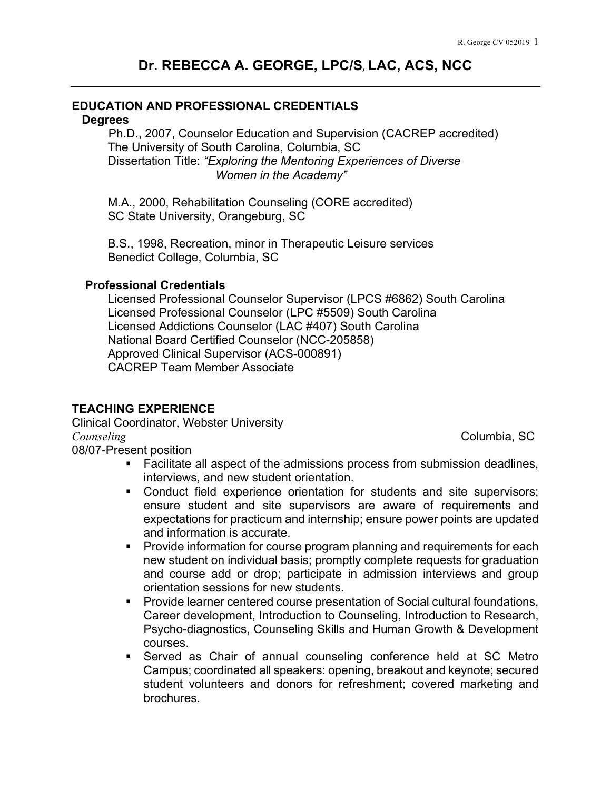### **EDUCATION AND PROFESSIONAL CREDENTIALS**

#### **Degrees**

 Ph.D., 2007, Counselor Education and Supervision (CACREP accredited) The University of South Carolina, Columbia, SC Dissertation Title: *"Exploring the Mentoring Experiences of Diverse Women in the Academy"* 

M.A., 2000, Rehabilitation Counseling (CORE accredited) SC State University, Orangeburg, SC

B.S., 1998, Recreation, minor in Therapeutic Leisure services Benedict College, Columbia, SC

#### **Professional Credentials**

Licensed Professional Counselor Supervisor (LPCS #6862) South Carolina Licensed Professional Counselor (LPC #5509) South Carolina Licensed Addictions Counselor (LAC #407) South Carolina National Board Certified Counselor (NCC-205858) Approved Clinical Supervisor (ACS-000891) CACREP Team Member Associate

# **TEACHING EXPERIENCE**

Clinical Coordinator, Webster University *Counseling* **Counseling Counseling Counseling Counseling Counseling Counseling Counseling Counseling** 08/07-Present position

- Facilitate all aspect of the admissions process from submission deadlines, interviews, and new student orientation.
- Conduct field experience orientation for students and site supervisors; ensure student and site supervisors are aware of requirements and expectations for practicum and internship; ensure power points are updated and information is accurate.
- **Provide information for course program planning and requirements for each** new student on individual basis; promptly complete requests for graduation and course add or drop; participate in admission interviews and group orientation sessions for new students.
- **Provide learner centered course presentation of Social cultural foundations,** Career development, Introduction to Counseling, Introduction to Research, Psycho-diagnostics, Counseling Skills and Human Growth & Development courses.
- Served as Chair of annual counseling conference held at SC Metro Campus; coordinated all speakers: opening, breakout and keynote; secured student volunteers and donors for refreshment; covered marketing and brochures.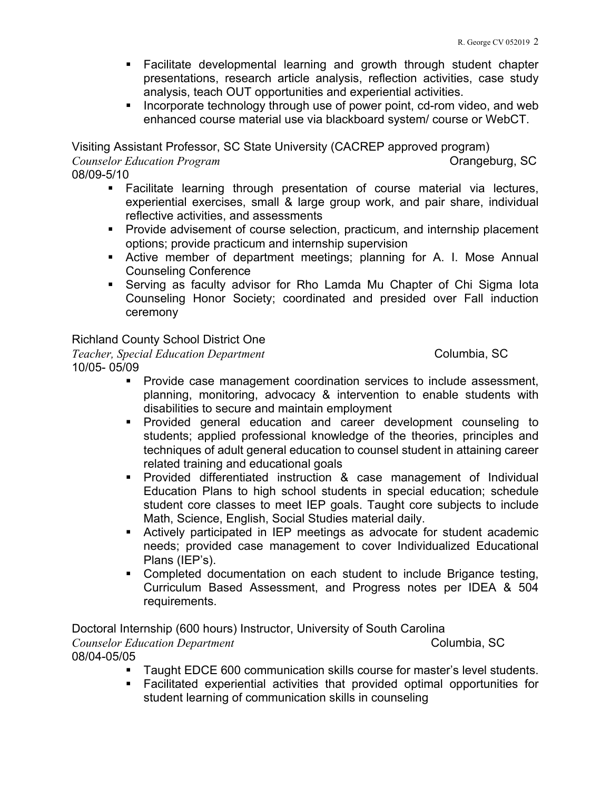- Facilitate developmental learning and growth through student chapter presentations, research article analysis, reflection activities, case study analysis, teach OUT opportunities and experiential activities.
- Incorporate technology through use of power point, cd-rom video, and web enhanced course material use via blackboard system/ course or WebCT.

Visiting Assistant Professor, SC State University (CACREP approved program)

*Counselor Education Program Counselor Education Program Counselor Education Program* 

08/09-5/10

- Facilitate learning through presentation of course material via lectures, experiential exercises, small & large group work, and pair share, individual reflective activities, and assessments
- **Provide advisement of course selection, practicum, and internship placement** options; provide practicum and internship supervision
- Active member of department meetings; planning for A. I. Mose Annual Counseling Conference
- Serving as faculty advisor for Rho Lamda Mu Chapter of Chi Sigma Iota Counseling Honor Society; coordinated and presided over Fall induction ceremony

## Richland County School District One

*Teacher, Special Education Department* Columbia, SC 10/05- 05/09

- **Provide case management coordination services to include assessment,** planning, monitoring, advocacy & intervention to enable students with disabilities to secure and maintain employment
- Provided general education and career development counseling to students; applied professional knowledge of the theories, principles and techniques of adult general education to counsel student in attaining career related training and educational goals
- Provided differentiated instruction & case management of Individual Education Plans to high school students in special education; schedule student core classes to meet IEP goals. Taught core subjects to include Math, Science, English, Social Studies material daily.
- Actively participated in IEP meetings as advocate for student academic needs; provided case management to cover Individualized Educational Plans (IEP's).
- Completed documentation on each student to include Brigance testing, Curriculum Based Assessment, and Progress notes per IDEA & 504 requirements.

Doctoral Internship (600 hours) Instructor, University of South Carolina

*Counselor Education Department* Columbia, SC 08/04-05/05

- **Taught EDCE 600 communication skills course for master's level students.**
- Facilitated experiential activities that provided optimal opportunities for student learning of communication skills in counseling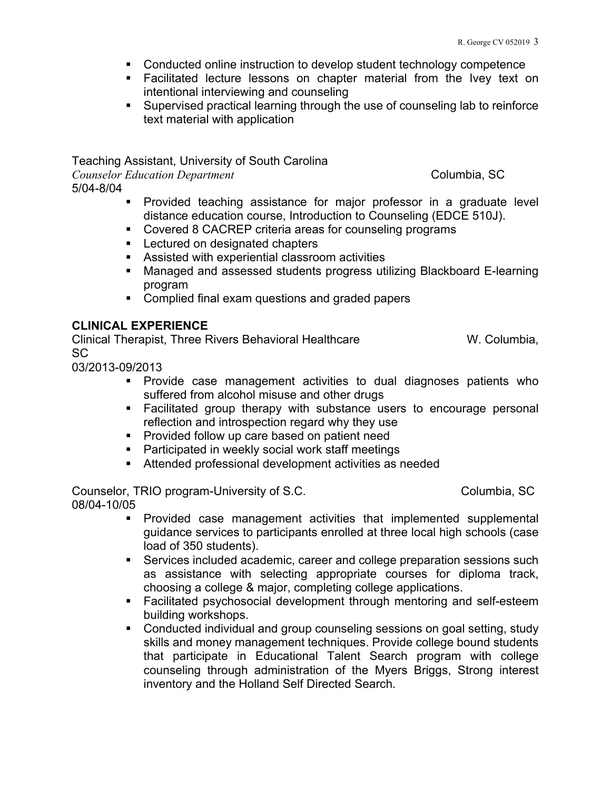- Conducted online instruction to develop student technology competence
- **Facilitated lecture lessons on chapter material from the Ivey text on** intentional interviewing and counseling
- Supervised practical learning through the use of counseling lab to reinforce text material with application

Teaching Assistant, University of South Carolina *Counselor Education Department* Columbia, SC 5/04-8/04

 Provided teaching assistance for major professor in a graduate level distance education course, Introduction to Counseling (EDCE 510J).

- **Covered 8 CACREP criteria areas for counseling programs**
- **Lectured on designated chapters**
- Assisted with experiential classroom activities
- Managed and assessed students progress utilizing Blackboard E-learning program
- Complied final exam questions and graded papers

#### **CLINICAL EXPERIENCE**

Clinical Therapist, Three Rivers Behavioral Healthcare W. Columbia, SC

03/2013-09/2013

- Provide case management activities to dual diagnoses patients who suffered from alcohol misuse and other drugs
- Facilitated group therapy with substance users to encourage personal reflection and introspection regard why they use
- **Provided follow up care based on patient need**
- **Participated in weekly social work staff meetings**
- Attended professional development activities as needed

Counselor, TRIO program-University of S.C. Columbia, SC 08/04-10/05

- Provided case management activities that implemented supplemental guidance services to participants enrolled at three local high schools (case load of 350 students).
- Services included academic, career and college preparation sessions such as assistance with selecting appropriate courses for diploma track, choosing a college & major, completing college applications.
- **Facilitated psychosocial development through mentoring and self-esteem** building workshops.
- **Conducted individual and group counseling sessions on goal setting, study** skills and money management techniques. Provide college bound students that participate in Educational Talent Search program with college counseling through administration of the Myers Briggs, Strong interest inventory and the Holland Self Directed Search.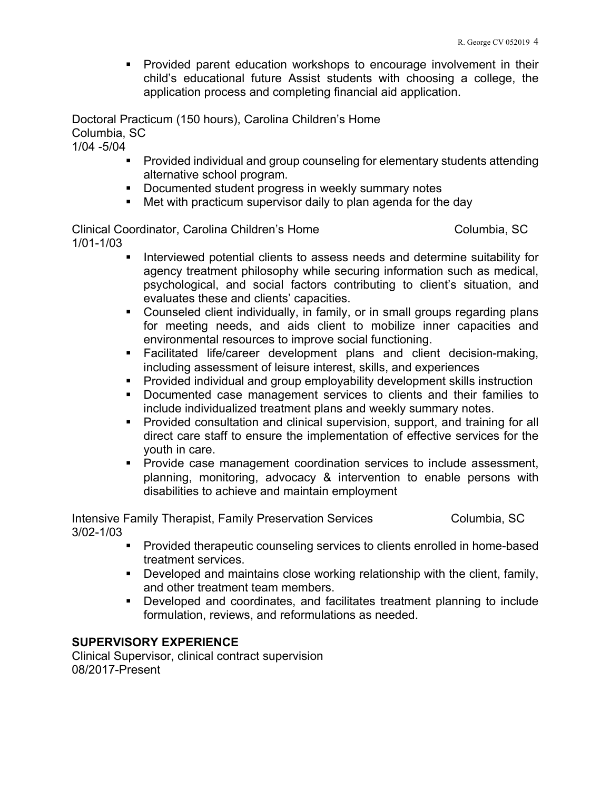**Provided parent education workshops to encourage involvement in their** child's educational future Assist students with choosing a college, the application process and completing financial aid application.

Doctoral Practicum (150 hours), Carolina Children's Home Columbia, SC

1/04 -5/04

- Provided individual and group counseling for elementary students attending alternative school program.
- **Documented student progress in weekly summary notes**
- Met with practicum supervisor daily to plan agenda for the day

Clinical Coordinator, Carolina Children's Home Columbia, SC 1/01-1/03

- **Interviewed potential clients to assess needs and determine suitability for** agency treatment philosophy while securing information such as medical, psychological, and social factors contributing to client's situation, and evaluates these and clients' capacities.
- Counseled client individually, in family, or in small groups regarding plans for meeting needs, and aids client to mobilize inner capacities and environmental resources to improve social functioning.
- Facilitated life/career development plans and client decision-making, including assessment of leisure interest, skills, and experiences
- **Provided individual and group employability development skills instruction**
- Documented case management services to clients and their families to include individualized treatment plans and weekly summary notes.
- **Provided consultation and clinical supervision, support, and training for all** direct care staff to ensure the implementation of effective services for the youth in care.
- **Provide case management coordination services to include assessment,** planning, monitoring, advocacy & intervention to enable persons with disabilities to achieve and maintain employment

Intensive Family Therapist, Family Preservation Services Columbia, SC 3/02-1/03

- **Provided therapeutic counseling services to clients enrolled in home-based** treatment services.
- Developed and maintains close working relationship with the client, family, and other treatment team members.
- Developed and coordinates, and facilitates treatment planning to include formulation, reviews, and reformulations as needed.

## **SUPERVISORY EXPERIENCE**

Clinical Supervisor, clinical contract supervision 08/2017-Present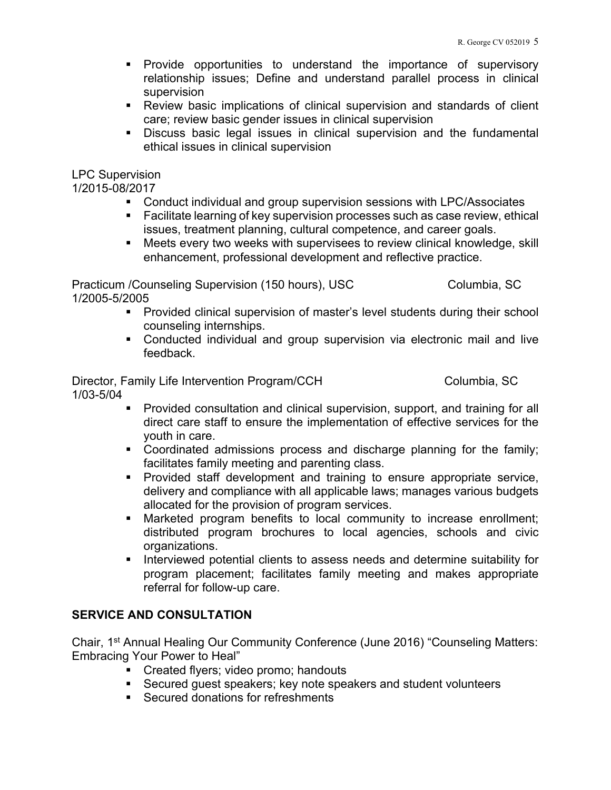- Provide opportunities to understand the importance of supervisory relationship issues; Define and understand parallel process in clinical supervision
- Review basic implications of clinical supervision and standards of client care; review basic gender issues in clinical supervision
- Discuss basic legal issues in clinical supervision and the fundamental ethical issues in clinical supervision

#### LPC Supervision

1/2015-08/2017

- Conduct individual and group supervision sessions with LPC/Associates
- **Facilitate learning of key supervision processes such as case review, ethical** issues, treatment planning, cultural competence, and career goals.
- **Meets every two weeks with supervisees to review clinical knowledge, skill** enhancement, professional development and reflective practice.

Practicum /Counseling Supervision (150 hours), USC Columbia, SC 1/2005-5/2005

- **Provided clinical supervision of master's level students during their school** counseling internships.
- Conducted individual and group supervision via electronic mail and live feedback.

Director, Family Life Intervention Program/CCH Columbia, SC 1/03-5/04

- - **Provided consultation and clinical supervision, support, and training for all** direct care staff to ensure the implementation of effective services for the youth in care.
	- Coordinated admissions process and discharge planning for the family; facilitates family meeting and parenting class.
	- **Provided staff development and training to ensure appropriate service,** delivery and compliance with all applicable laws; manages various budgets allocated for the provision of program services.
	- Marketed program benefits to local community to increase enrollment; distributed program brochures to local agencies, schools and civic organizations.
	- **Interviewed potential clients to assess needs and determine suitability for** program placement; facilitates family meeting and makes appropriate referral for follow-up care.

## **SERVICE AND CONSULTATION**

Chair, 1st Annual Healing Our Community Conference (June 2016) "Counseling Matters: Embracing Your Power to Heal"

- Created flyers; video promo; handouts
- Secured guest speakers; key note speakers and student volunteers
- Secured donations for refreshments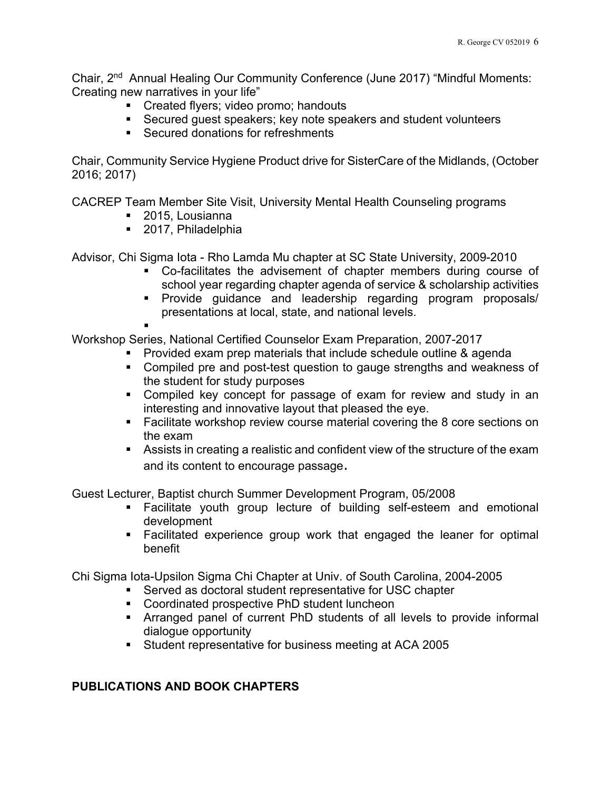Chair, 2nd Annual Healing Our Community Conference (June 2017) "Mindful Moments: Creating new narratives in your life"

- Created flyers; video promo; handouts
- Secured guest speakers; key note speakers and student volunteers
- Secured donations for refreshments

Chair, Community Service Hygiene Product drive for SisterCare of the Midlands, (October 2016; 2017)

CACREP Team Member Site Visit, University Mental Health Counseling programs

- 2015, Lousianna
- 2017, Philadelphia

Advisor, Chi Sigma Iota - Rho Lamda Mu chapter at SC State University, 2009-2010

- Co-facilitates the advisement of chapter members during course of school year regarding chapter agenda of service & scholarship activities
- **Provide guidance and leadership regarding program proposals/** presentations at local, state, and national levels.
- 

Workshop Series, National Certified Counselor Exam Preparation, 2007-2017

- Provided exam prep materials that include schedule outline & agenda
- Compiled pre and post-test question to gauge strengths and weakness of the student for study purposes
- Compiled key concept for passage of exam for review and study in an interesting and innovative layout that pleased the eye.
- **Facilitate workshop review course material covering the 8 core sections on** the exam
- Assists in creating a realistic and confident view of the structure of the exam and its content to encourage passage.

Guest Lecturer, Baptist church Summer Development Program, 05/2008

- Facilitate youth group lecture of building self-esteem and emotional development
- Facilitated experience group work that engaged the leaner for optimal benefit

Chi Sigma Iota-Upsilon Sigma Chi Chapter at Univ. of South Carolina, 2004-2005

- Served as doctoral student representative for USC chapter
	- **Coordinated prospective PhD student luncheon**
- Arranged panel of current PhD students of all levels to provide informal dialogue opportunity
- Student representative for business meeting at ACA 2005

# **PUBLICATIONS AND BOOK CHAPTERS**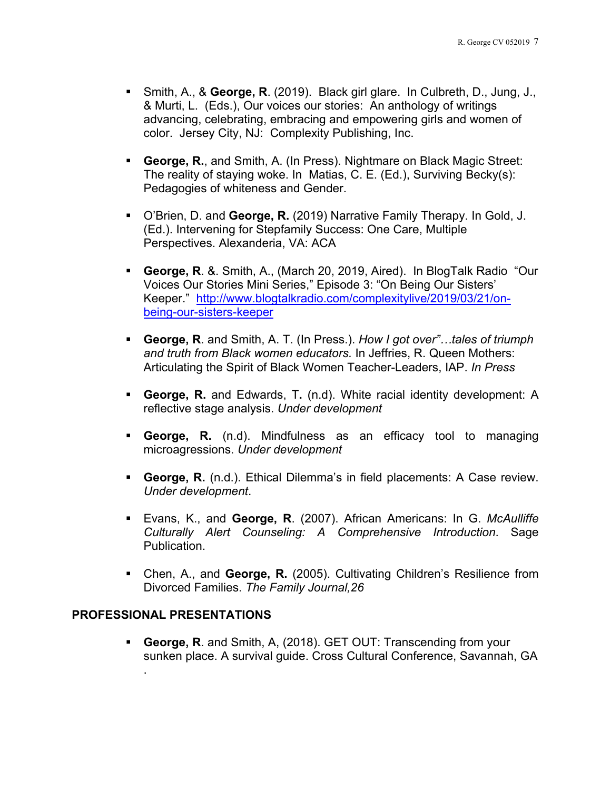- Smith, A., & **George, R**. (2019). Black girl glare. In Culbreth, D., Jung, J., & Murti, L. (Eds.), Our voices our stories: An anthology of writings advancing, celebrating, embracing and empowering girls and women of color. Jersey City, NJ: Complexity Publishing, Inc.
- **George, R.**, and Smith, A. (In Press). Nightmare on Black Magic Street: The reality of staying woke. In Matias, C. E. (Ed.), Surviving Becky(s): Pedagogies of whiteness and Gender.
- O'Brien, D. and **George, R.** (2019) Narrative Family Therapy. In Gold, J. (Ed.). Intervening for Stepfamily Success: One Care, Multiple Perspectives. Alexanderia, VA: ACA
- **George, R**. &. Smith, A., (March 20, 2019, Aired). In BlogTalk Radio "Our Voices Our Stories Mini Series," Episode 3: "On Being Our Sisters' Keeper." http://www.blogtalkradio.com/complexitylive/2019/03/21/onbeing-our-sisters-keeper
- **George, R**. and Smith, A. T. (In Press.). *How I got over"…tales of triumph and truth from Black women educators.* In Jeffries, R. Queen Mothers: Articulating the Spirit of Black Women Teacher-Leaders, IAP. *In Press*
- **George, R.** and Edwards, T**.** (n.d). White racial identity development: A reflective stage analysis. *Under development*
- **George, R.** (n.d). Mindfulness as an efficacy tool to managing microagressions. *Under development*
- **George, R.** (n.d.). Ethical Dilemma's in field placements: A Case review. *Under development*.
- Evans, K., and **George, R**. (2007). African Americans: In G. *McAulliffe Culturally Alert Counseling: A Comprehensive Introduction*. Sage Publication.
- Chen, A., and **George, R.** (2005). Cultivating Children's Resilience from Divorced Families. *The Family Journal,26*

### **PROFESSIONAL PRESENTATIONS**

 **George, R**. and Smith, A, (2018). GET OUT: Transcending from your sunken place. A survival guide. Cross Cultural Conference, Savannah, GA .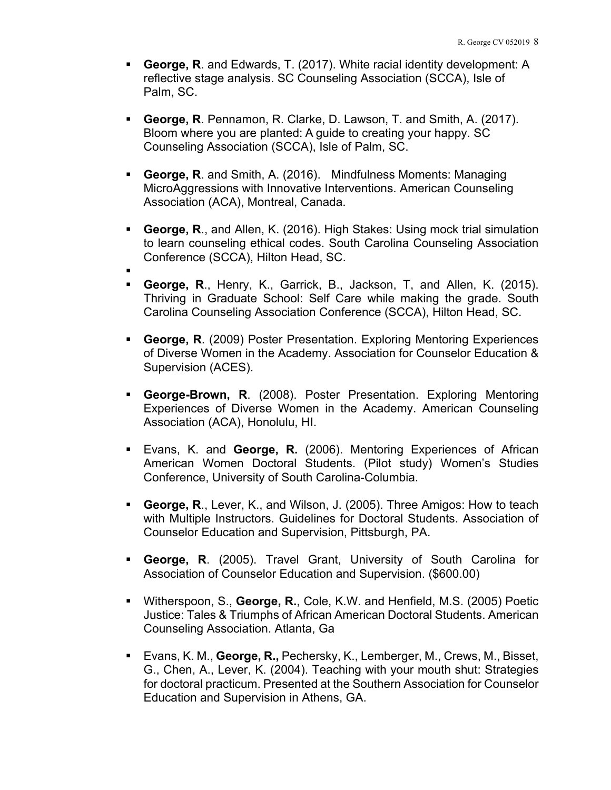- **George, R**. and Edwards, T. (2017). White racial identity development: A reflective stage analysis. SC Counseling Association (SCCA), Isle of Palm, SC.
- **George, R**. Pennamon, R. Clarke, D. Lawson, T. and Smith, A. (2017). Bloom where you are planted: A guide to creating your happy. SC Counseling Association (SCCA), Isle of Palm, SC.
- **George, R**. and Smith, A. (2016). Mindfulness Moments: Managing MicroAggressions with Innovative Interventions. American Counseling Association (ACA), Montreal, Canada.
- **George, R**., and Allen, K. (2016). High Stakes: Using mock trial simulation to learn counseling ethical codes. South Carolina Counseling Association Conference (SCCA), Hilton Head, SC.
- 
- **George, R**., Henry, K., Garrick, B., Jackson, T, and Allen, K. (2015). Thriving in Graduate School: Self Care while making the grade. South Carolina Counseling Association Conference (SCCA), Hilton Head, SC.
- **George, R**. (2009) Poster Presentation. Exploring Mentoring Experiences of Diverse Women in the Academy. Association for Counselor Education & Supervision (ACES).
- **George-Brown, R**. (2008). Poster Presentation. Exploring Mentoring Experiences of Diverse Women in the Academy. American Counseling Association (ACA), Honolulu, HI.
- Evans, K. and **George, R.** (2006). Mentoring Experiences of African American Women Doctoral Students. (Pilot study) Women's Studies Conference, University of South Carolina-Columbia.
- **George, R**., Lever, K., and Wilson, J. (2005). Three Amigos: How to teach with Multiple Instructors. Guidelines for Doctoral Students. Association of Counselor Education and Supervision, Pittsburgh, PA.
- **George, R**. (2005). Travel Grant, University of South Carolina for Association of Counselor Education and Supervision. (\$600.00)
- Witherspoon, S., **George, R.**, Cole, K.W. and Henfield, M.S. (2005) Poetic Justice: Tales & Triumphs of African American Doctoral Students. American Counseling Association. Atlanta, Ga
- Evans, K. M., **George, R.,** Pechersky, K., Lemberger, M., Crews, M., Bisset, G., Chen, A., Lever, K. (2004). Teaching with your mouth shut: Strategies for doctoral practicum. Presented at the Southern Association for Counselor Education and Supervision in Athens, GA.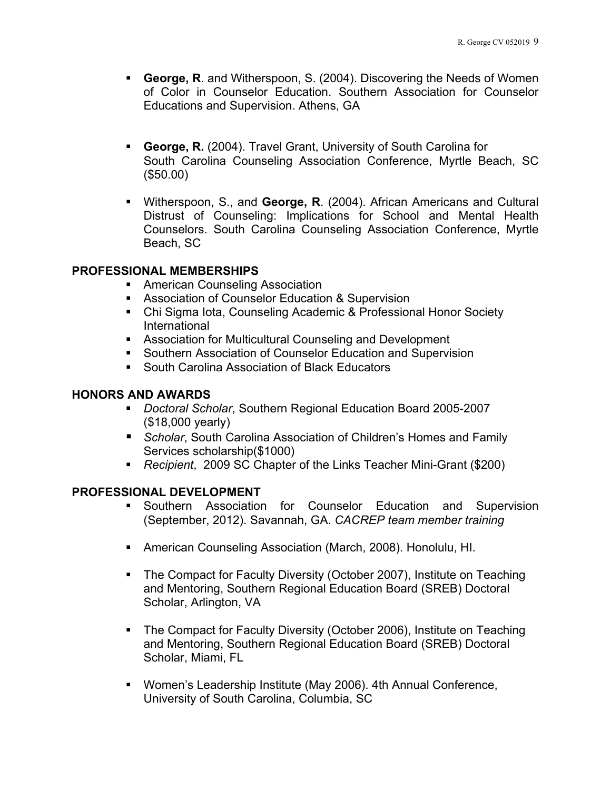- **George, R**. and Witherspoon, S. (2004). Discovering the Needs of Women of Color in Counselor Education. Southern Association for Counselor Educations and Supervision. Athens, GA
- **George, R.** (2004). Travel Grant, University of South Carolina for South Carolina Counseling Association Conference, Myrtle Beach, SC (\$50.00)
- Witherspoon, S., and **George, R**. (2004). African Americans and Cultural Distrust of Counseling: Implications for School and Mental Health Counselors. South Carolina Counseling Association Conference, Myrtle Beach, SC

## **PROFESSIONAL MEMBERSHIPS**

- **American Counseling Association**
- **Association of Counselor Education & Supervision**
- Chi Sigma Iota, Counseling Academic & Professional Honor Society International
- **Association for Multicultural Counseling and Development**
- **Southern Association of Counselor Education and Supervision**
- South Carolina Association of Black Educators

### **HONORS AND AWARDS**

- *Doctoral Scholar*, Southern Regional Education Board 2005-2007 (\$18,000 yearly)
- **B** Scholar, South Carolina Association of Children's Homes and Family Services scholarship(\$1000)
- *Recipient*, 2009 SC Chapter of the Links Teacher Mini-Grant (\$200)

### **PROFESSIONAL DEVELOPMENT**

- Southern Association for Counselor Education and Supervision (September, 2012). Savannah, GA. *CACREP team member training*
- American Counseling Association (March, 2008). Honolulu, HI.
- The Compact for Faculty Diversity (October 2007), Institute on Teaching and Mentoring, Southern Regional Education Board (SREB) Doctoral Scholar, Arlington, VA
- The Compact for Faculty Diversity (October 2006), Institute on Teaching and Mentoring, Southern Regional Education Board (SREB) Doctoral Scholar, Miami, FL
- Women's Leadership Institute (May 2006). 4th Annual Conference, University of South Carolina, Columbia, SC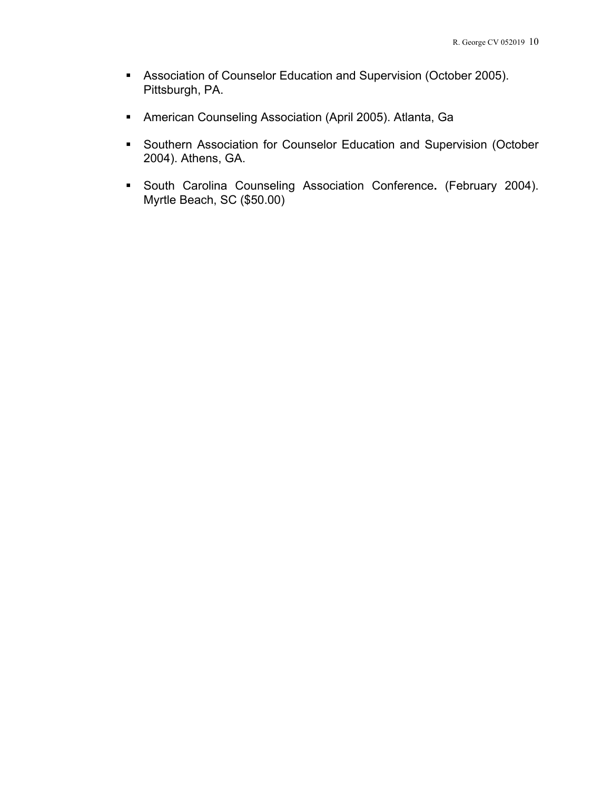- Association of Counselor Education and Supervision (October 2005). Pittsburgh, PA.
- American Counseling Association (April 2005). Atlanta, Ga
- **Southern Association for Counselor Education and Supervision (October** 2004). Athens, GA.
- South Carolina Counseling Association Conference**.** (February 2004). Myrtle Beach, SC (\$50.00)